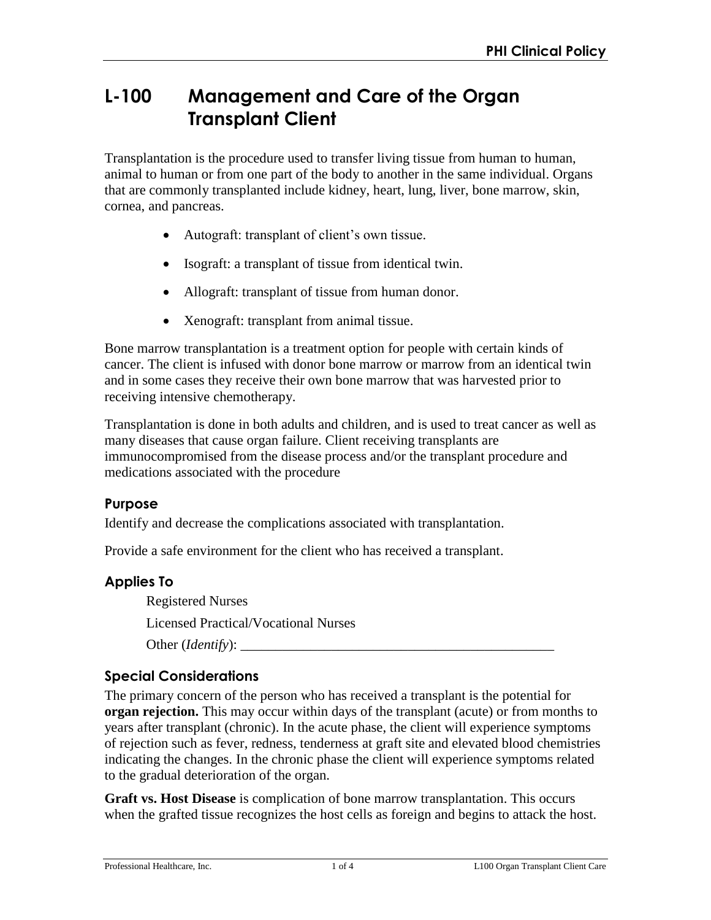# **L-100 Management and Care of the Organ Transplant Client**

Transplantation is the procedure used to transfer living tissue from human to human, animal to human or from one part of the body to another in the same individual. Organs that are commonly transplanted include kidney, heart, lung, liver, bone marrow, skin, cornea, and pancreas.

- Autograft: transplant of client's own tissue.
- Isograft: a transplant of tissue from identical twin.
- Allograft: transplant of tissue from human donor.
- Xenograft: transplant from animal tissue.

Bone marrow transplantation is a treatment option for people with certain kinds of cancer. The client is infused with donor bone marrow or marrow from an identical twin and in some cases they receive their own bone marrow that was harvested prior to receiving intensive chemotherapy.

Transplantation is done in both adults and children, and is used to treat cancer as well as many diseases that cause organ failure. Client receiving transplants are immunocompromised from the disease process and/or the transplant procedure and medications associated with the procedure

#### **Purpose**

Identify and decrease the complications associated with transplantation.

Provide a safe environment for the client who has received a transplant.

### **Applies To**

Registered Nurses Licensed Practical/Vocational Nurses Other (*Identify*): \_\_\_\_\_\_\_\_\_\_\_\_\_\_\_\_\_\_\_\_\_\_\_\_\_\_\_\_\_\_\_\_\_\_\_\_\_\_\_\_\_\_\_\_\_

### **Special Considerations**

The primary concern of the person who has received a transplant is the potential for **organ rejection.** This may occur within days of the transplant (acute) or from months to years after transplant (chronic). In the acute phase, the client will experience symptoms of rejection such as fever, redness, tenderness at graft site and elevated blood chemistries indicating the changes. In the chronic phase the client will experience symptoms related to the gradual deterioration of the organ.

**Graft vs. Host Disease** is complication of bone marrow transplantation. This occurs when the grafted tissue recognizes the host cells as foreign and begins to attack the host.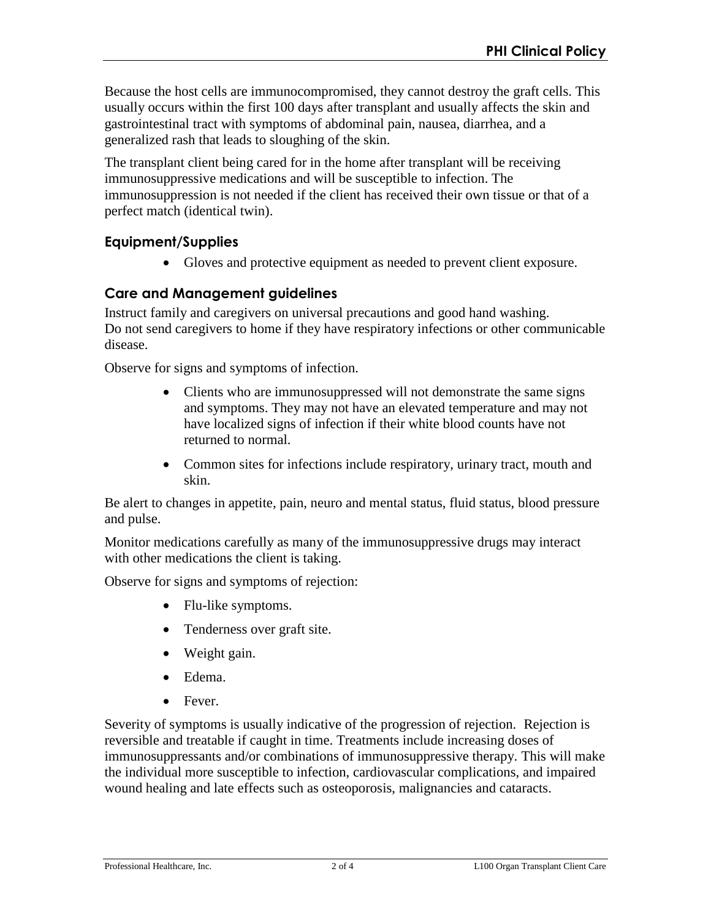Because the host cells are immunocompromised, they cannot destroy the graft cells. This usually occurs within the first 100 days after transplant and usually affects the skin and gastrointestinal tract with symptoms of abdominal pain, nausea, diarrhea, and a generalized rash that leads to sloughing of the skin.

The transplant client being cared for in the home after transplant will be receiving immunosuppressive medications and will be susceptible to infection. The immunosuppression is not needed if the client has received their own tissue or that of a perfect match (identical twin).

## **Equipment/Supplies**

Gloves and protective equipment as needed to prevent client exposure.

## **Care and Management guidelines**

Instruct family and caregivers on universal precautions and good hand washing. Do not send caregivers to home if they have respiratory infections or other communicable disease.

Observe for signs and symptoms of infection.

- Clients who are immunosuppressed will not demonstrate the same signs and symptoms. They may not have an elevated temperature and may not have localized signs of infection if their white blood counts have not returned to normal.
- Common sites for infections include respiratory, urinary tract, mouth and skin.

Be alert to changes in appetite, pain, neuro and mental status, fluid status, blood pressure and pulse.

Monitor medications carefully as many of the immunosuppressive drugs may interact with other medications the client is taking.

Observe for signs and symptoms of rejection:

- Flu-like symptoms.
- Tenderness over graft site.
- Weight gain.
- Edema.
- Fever.

Severity of symptoms is usually indicative of the progression of rejection. Rejection is reversible and treatable if caught in time. Treatments include increasing doses of immunosuppressants and/or combinations of immunosuppressive therapy. This will make the individual more susceptible to infection, cardiovascular complications, and impaired wound healing and late effects such as osteoporosis, malignancies and cataracts.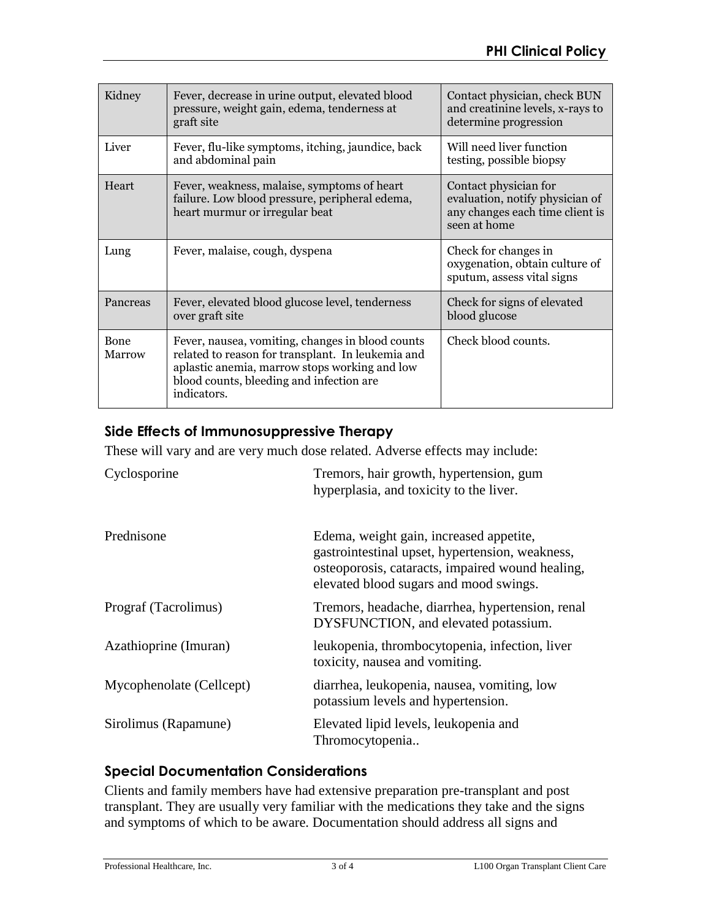| Kidney         | Fever, decrease in urine output, elevated blood<br>pressure, weight gain, edema, tenderness at<br>graft site                                                                                                       | Contact physician, check BUN<br>and creatinine levels, x-rays to<br>determine progression                   |  |
|----------------|--------------------------------------------------------------------------------------------------------------------------------------------------------------------------------------------------------------------|-------------------------------------------------------------------------------------------------------------|--|
| Liver          | Fever, flu-like symptoms, itching, jaundice, back<br>and abdominal pain                                                                                                                                            | Will need liver function<br>testing, possible biopsy                                                        |  |
| Heart          | Fever, weakness, malaise, symptoms of heart<br>failure. Low blood pressure, peripheral edema,<br>heart murmur or irregular beat                                                                                    | Contact physician for<br>evaluation, notify physician of<br>any changes each time client is<br>seen at home |  |
| Lung           | Fever, malaise, cough, dyspena                                                                                                                                                                                     | Check for changes in<br>oxygenation, obtain culture of<br>sputum, assess vital signs                        |  |
| Pancreas       | Fever, elevated blood glucose level, tenderness<br>over graft site                                                                                                                                                 | Check for signs of elevated<br>blood glucose                                                                |  |
| Bone<br>Marrow | Fever, nausea, vomiting, changes in blood counts<br>related to reason for transplant. In leukemia and<br>aplastic anemia, marrow stops working and low<br>blood counts, bleeding and infection are.<br>indicators. | Check blood counts.                                                                                         |  |

## **Side Effects of Immunosuppressive Therapy**

These will vary and are very much dose related. Adverse effects may include:

| Cyclosporine             | Tremors, hair growth, hypertension, gum<br>hyperplasia, and toxicity to the liver.                                                                                                       |
|--------------------------|------------------------------------------------------------------------------------------------------------------------------------------------------------------------------------------|
| Prednisone               | Edema, weight gain, increased appetite,<br>gastrointestinal upset, hypertension, weakness,<br>osteoporosis, cataracts, impaired wound healing,<br>elevated blood sugars and mood swings. |
| Prograf (Tacrolimus)     | Tremors, headache, diarrhea, hypertension, renal<br>DYSFUNCTION, and elevated potassium.                                                                                                 |
| Azathioprine (Imuran)    | leukopenia, thrombocytopenia, infection, liver<br>toxicity, nausea and vomiting.                                                                                                         |
| Mycophenolate (Cellcept) | diarrhea, leukopenia, nausea, vomiting, low<br>potassium levels and hypertension.                                                                                                        |
| Sirolimus (Rapamune)     | Elevated lipid levels, leukopenia and<br>Thromocytopenia                                                                                                                                 |

### **Special Documentation Considerations**

Clients and family members have had extensive preparation pre-transplant and post transplant. They are usually very familiar with the medications they take and the signs and symptoms of which to be aware. Documentation should address all signs and